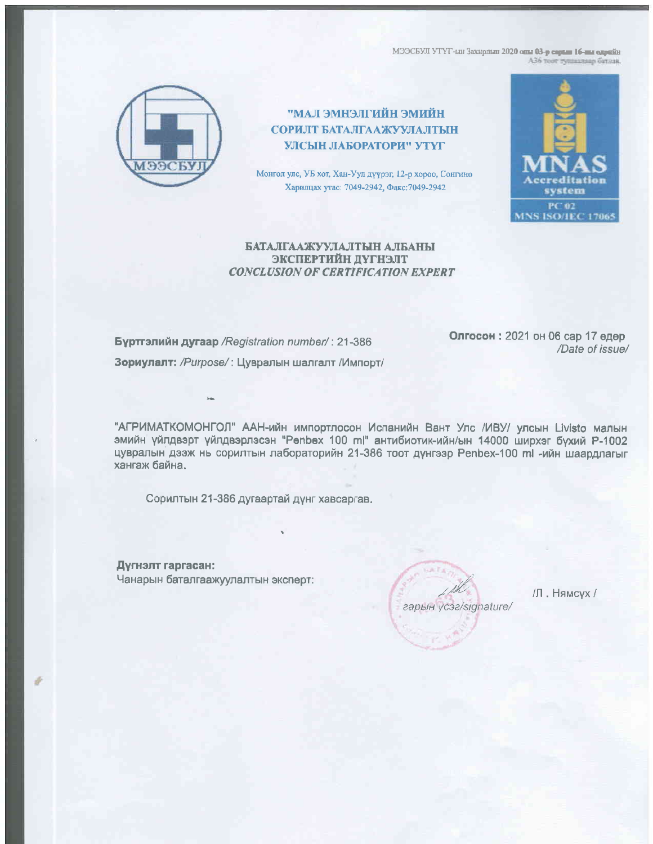МЭЭСБУЛ УТҮГ-ын Захирлын 2020 оны 03-р сарын 16-ны өдрийн АЗ6 тоот тушаллаар батлав.



## ИЙИМЕ НЙИТІЛЕНМЕ І.АМ" СОРИЛТ БАТАЛГААЖУУЛАЛТЫН УЛСЫН ЛАБОРАТОРИ" УТҮГ

Монгол улс, УБ хот, Хан-Уул дүүрэг, 12-р хороо, Сонгино Харилцах утас: 7049-2942, Факс: 7049-2942



## БАТАЛГААЖУУЛАЛТЫН АЛБАНЫ ЭКСПЕРТИЙН ДУГНЭЛТ **CONCLUSION OF CERTIFICATION EXPERT**

Бүртгэлийн дугаар / Registration number/: 21-386 Зориулалт: /Purpose/: Цувралын шалгалт /Импорт/ Олгосон: 2021 он 06 сар 17 өдөр /Date of issue/

"АГРИМАТКОМОНГОЛ" ААН-ийн импортлосон Испанийн Вант Улс /ИВУ/ улсын Livisto малын эмийн үйлдвэрт үйлдвэрлэсэн "Penbex 100 m|" антибиотик-ийн/ын 14000 ширхэг бүхий P-1002 цувралын дээж нь сорилтын лабораторийн 21-386 тоот дүнгээр Penbex-100 ml -ийн шаардлагыг хангаж байна.

Сорилтын 21-386 дугаартай дүнг хавсаргав.

Дүгнэлт гаргасан: Чанарын баталгаажуулалтын эксперт:

гарын үсэг/signature/

/Л. Нямсух /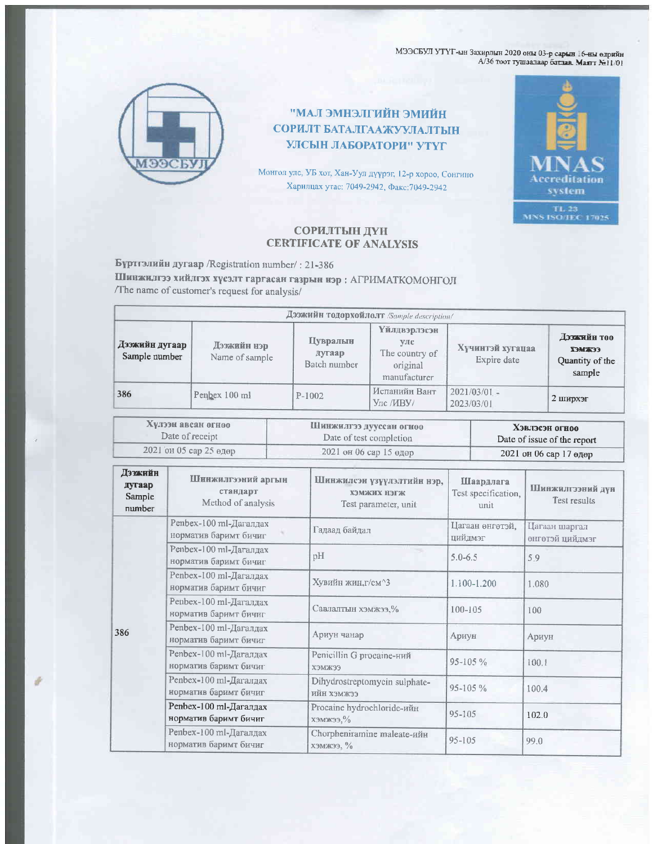МЭЭСБУЛ УТҮГ-ын Захирлын 2020 оны 03-р сарын 16-ны өлрийн ${\rm A}/36$ тоот тушаалаар батлав. Маягт  $\rm{[Fe]}1/01$ 



ИЙИИЕ НЙИЛІКЕНИЕ ГАМ" СОРИЛТ БАТАЛГААЖУУЛАЛТЫН УЛСЫН ЛАБОРАТОРИ" УТҮГ

Монгол улс, УБ хот, Хан-Уул дүүрэг, 12-р хороо, Сонгино Харилцах утас: 7049-2942, Факс: 7049-2942



## СОРИЛТЫН ДҮН **CERTIFICATE OF ANALYSIS**

Бүртгэлийн дугаар /Registration number/: 21-386

Шинжилгээ хийлгэх хүсэлт гаргасан газрын нэр : АГРИМАТКОМОНГОЛ /The name of customer's request for analysis/

| Дээжийн тодорхойлолт /Sample description/ |                               |                                    |                                                                    |                                 |                                                           |  |  |
|-------------------------------------------|-------------------------------|------------------------------------|--------------------------------------------------------------------|---------------------------------|-----------------------------------------------------------|--|--|
| Дээжийн дугаар<br>Sample number           | Дээжийн нэр<br>Name of sample | Цувралын<br>дугаар<br>Batch number | Үйлдвэрлэсэн<br>улс.<br>The country of<br>original<br>manufacturer | Хүчинтэй хугацаа<br>Expire date | Дэзжийн тоо<br><b>EEEMEX</b><br>Quantity of the<br>sample |  |  |
| 386                                       | Penbex 100 ml                 | $P-1002$                           | Испанийн Вант<br>Улс /ИВУ/                                         | $2021/03/01 -$<br>2023/03/01    | 2 ширхэг                                                  |  |  |

| Хулээн авсан огноо     | Инижилгээ дууссан огноо | Хэвлэсэн огноо              |  |
|------------------------|-------------------------|-----------------------------|--|
| Date of receipt        | Date of test completion | Date of issue of the report |  |
| 2021 он 05 сар 25 өдөр | 2021 он 06 сар 15 өдөр  | 2021 он 06 сар 17 өдөр      |  |

| Дээжийн<br>дугаар<br>Sample<br>number | Шинжилгээний аргын<br>стандарт<br>Method of analysis | Шинжилсэн үзүүлэлтийн нэр,<br><b>ХЭМЖИХ НЭГЖ</b><br>Test parameter, unit | Шаардлага<br>Test specification,<br>unit | Шинжилгээний дүн<br>Test results |
|---------------------------------------|------------------------------------------------------|--------------------------------------------------------------------------|------------------------------------------|----------------------------------|
| 386                                   | Penbex-100 ml-Дагалдах<br>норматив баримт бичиг      | Гадаад байдал                                                            | Цагаан өнгөтэй,<br>цийдмэг               | Цагаан шаргал<br>онгөтэй цийдмэг |
|                                       | Penbex-100 ml-Дагалдах<br>норматив баримт бичиг      | pH                                                                       | $5.0 - 6.5$                              | 5.9                              |
|                                       | Penbex-100 ml-Дагалдах<br>норматив баримт бичиг      | Хувийн жин, г/см^3                                                       | 1.100-1.200                              | 1.080                            |
|                                       | Penbex-100 ml-Дагалдах<br>норматив баримт бичиг      | Савлалтын хэмжээ, %                                                      | $100 - 105$                              | 100                              |
|                                       | Penbex-100 ml-Дагалдах<br>норматив баримт бичиг      | Ариун чанар                                                              | Ариун                                    | Ариун                            |
|                                       | Penbex-100 ml-Дагалдах<br>норматив баримт бичиг      | Penicillin G procaine-ний<br><b>ХЭМЖЭЭ</b>                               | $95 - 105 \%$                            | 100.1                            |
|                                       | Penbex-100 ml-Дагалдах<br>норматив баримт бичиг      | Dihydrostreptomycin sulphate-<br>сежмех нйн                              | 95-105 %                                 | 100.4                            |
|                                       | Penbex-100 ml-Дагалдах<br>норматив баримт бичиг      | Procaine hydrochloride-ийн<br>$\chi$ Эмжээ, $\%$                         | 95-105                                   | 102.0                            |
|                                       | Penbex-100 ml-Дагалдах<br>норматив баримт бичиг      | Chorpheniramine maleate-ийн<br>ХЭМЖЭЭ, $\%$                              | $95 - 105$                               | 99.0                             |